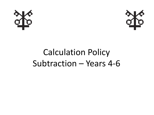



## Calculation Policy Subtraction – Years 4-6